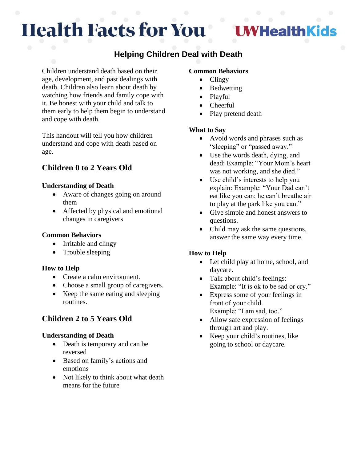# **Health Facts for You**

## **HealthKids**

## **Helping Children Deal with Death**

Children understand death based on their age, development, and past dealings with death. Children also learn about death by watching how friends and family cope with it. Be honest with your child and talk to them early to help them begin to understand and cope with death.

This handout will tell you how children understand and cope with death based on age.

## **Children 0 to 2 Years Old**

## **Understanding of Death**

- Aware of changes going on around them
- Affected by physical and emotional changes in caregivers

## **Common Behaviors**

- Irritable and clingy
- Trouble sleeping

## **How to Help**

- Create a calm environment.
- Choose a small group of caregivers.
- Keep the same eating and sleeping routines.

## **Children 2 to 5 Years Old**

## **Understanding of Death**

- Death is temporary and can be reversed
- Based on family's actions and emotions
- Not likely to think about what death means for the future

## **Common Behaviors**

- Clingy
- **Bedwetting**
- Playful
- Cheerful
- Play pretend death

#### **What to Say**

- Avoid words and phrases such as "sleeping" or "passed away."
- Use the words death, dying, and dead: Example: "Your Mom's heart was not working, and she died."
- Use child's interests to help you explain: Example: "Your Dad can't eat like you can; he can't breathe air to play at the park like you can."
- Give simple and honest answers to questions.
- Child may ask the same questions, answer the same way every time.

## **How to Help**

- Let child play at home, school, and daycare.
- Talk about child's feelings: Example: "It is ok to be sad or cry."
- Express some of your feelings in front of your child. Example: "I am sad, too."
- Allow safe expression of feelings through art and play.
- Keep your child's routines, like going to school or daycare.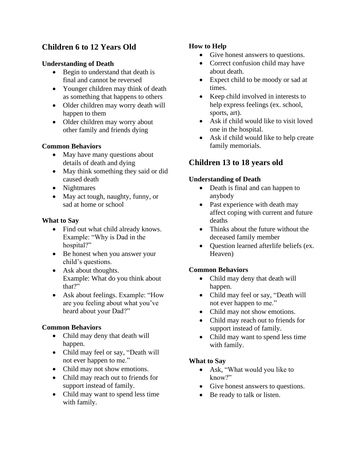## **Children 6 to 12 Years Old**

## **Understanding of Death**

- Begin to understand that death is final and cannot be reversed
- Younger children may think of death as something that happens to others
- Older children may worry death will happen to them
- Older children may worry about other family and friends dying

## **Common Behaviors**

- May have many questions about details of death and dying
- May think something they said or did caused death
- Nightmares
- May act tough, naughty, funny, or sad at home or school

## **What to Say**

- Find out what child already knows. Example: "Why is Dad in the hospital?"
- Be honest when you answer your child's questions.
- Ask about thoughts. Example: What do you think about that?"
- Ask about feelings. Example: "How are you feeling about what you've heard about your Dad?"

## **Common Behaviors**

- Child may deny that death will happen.
- Child may feel or say, "Death will not ever happen to me."
- Child may not show emotions.
- Child may reach out to friends for support instead of family.
- Child may want to spend less time with family.

## **How to Help**

- Give honest answers to questions.
- Correct confusion child may have about death.
- Expect child to be moody or sad at times.
- Keep child involved in interests to help express feelings (ex. school, sports, art).
- Ask if child would like to visit loved one in the hospital.
- Ask if child would like to help create family memorials.

## **Children 13 to 18 years old**

## **Understanding of Death**

- Death is final and can happen to anybody
- Past experience with death may affect coping with current and future deaths
- Thinks about the future without the deceased family member
- Question learned afterlife beliefs (ex. Heaven)

## **Common Behaviors**

- Child may deny that death will happen.
- Child may feel or say, "Death will not ever happen to me."
- Child may not show emotions.
- Child may reach out to friends for support instead of family.
- Child may want to spend less time with family.

## **What to Say**

- Ask, "What would you like to know?"
- Give honest answers to questions.
- Be ready to talk or listen.